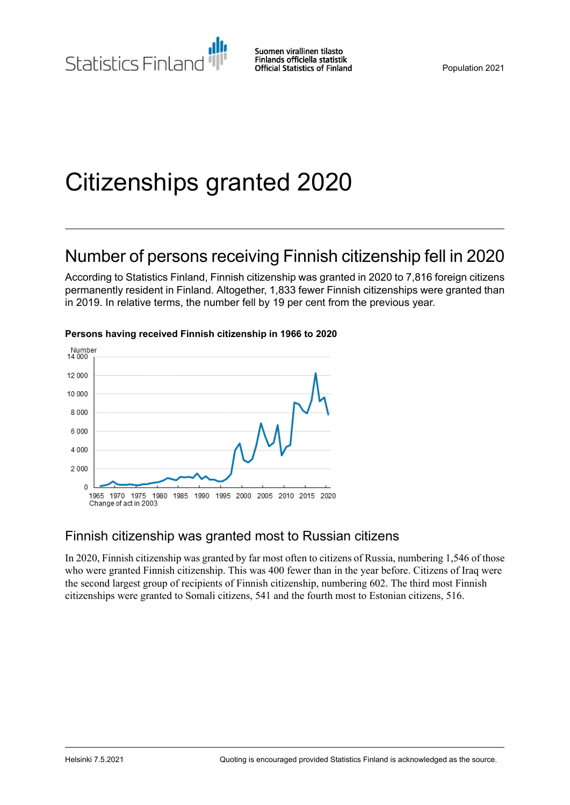# Citizenships granted 2020

# Number of persons receiving Finnish citizenship fell in 2020

According to Statistics Finland, Finnish citizenship was granted in 2020 to 7,816 foreign citizens permanently resident in Finland. Altogether, 1,833 fewer Finnish citizenships were granted than in 2019. In relative terms, the number fell by 19 per cent from the previous year.



#### **Persons having received Finnish citizenship in 1966 to 2020**

#### Finnish citizenship was granted most to Russian citizens

In 2020, Finnish citizenship was granted by far most often to citizens of Russia, numbering 1,546 of those who were granted Finnish citizenship. This was 400 fewer than in the year before. Citizens of Iraq were the second largest group of recipients of Finnish citizenship, numbering 602. The third most Finnish citizenships were granted to Somali citizens, 541 and the fourth most to Estonian citizens, 516.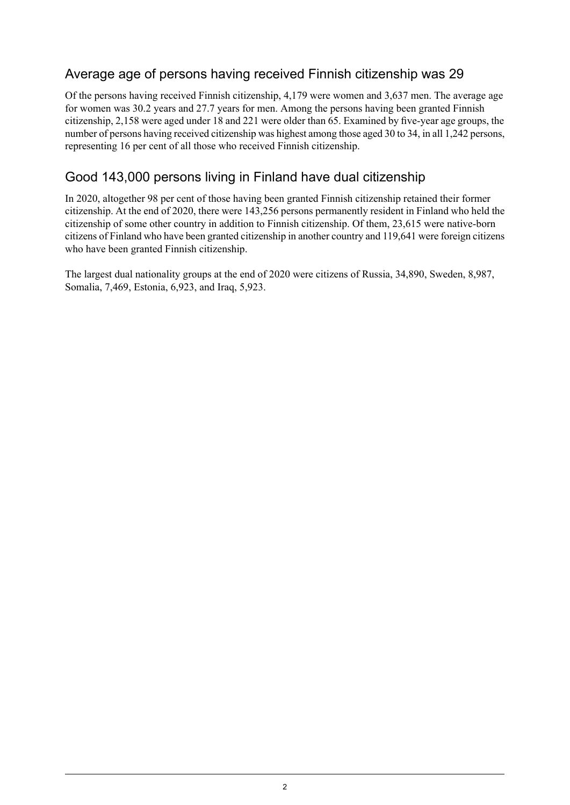### Average age of persons having received Finnish citizenship was 29

Of the persons having received Finnish citizenship, 4,179 were women and 3,637 men. The average age for women was 30.2 years and 27.7 years for men. Among the persons having been granted Finnish citizenship, 2,158 were aged under 18 and 221 were older than 65. Examined by five-year age groups, the number of persons having received citizenship was highest among those aged 30 to 34, in all 1,242 persons, representing 16 per cent of all those who received Finnish citizenship.

### Good 143,000 persons living in Finland have dual citizenship

In 2020, altogether 98 per cent of those having been granted Finnish citizenship retained their former citizenship. At the end of 2020, there were 143,256 persons permanently resident in Finland who held the citizenship of some other country in addition to Finnish citizenship. Of them, 23,615 were native-born citizens of Finland who have been granted citizenship in another country and 119,641 were foreign citizens who have been granted Finnish citizenship.

The largest dual nationality groups at the end of 2020 were citizens of Russia, 34,890, Sweden, 8,987, Somalia, 7,469, Estonia, 6,923, and Iraq, 5,923.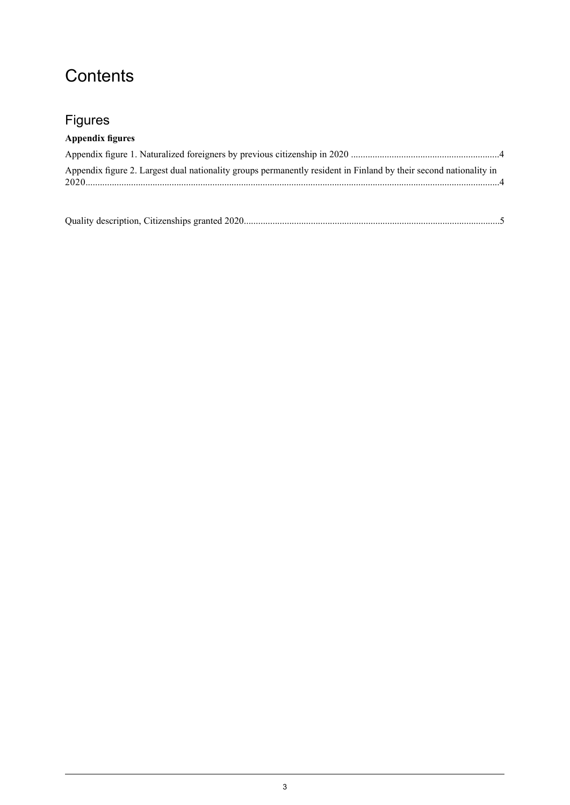### **Contents**

### Figures

#### **Appendix figures**

| Appendix figure 2. Largest dual nationality groups permanently resident in Finland by their second nationality in |  |
|-------------------------------------------------------------------------------------------------------------------|--|
|                                                                                                                   |  |

|--|--|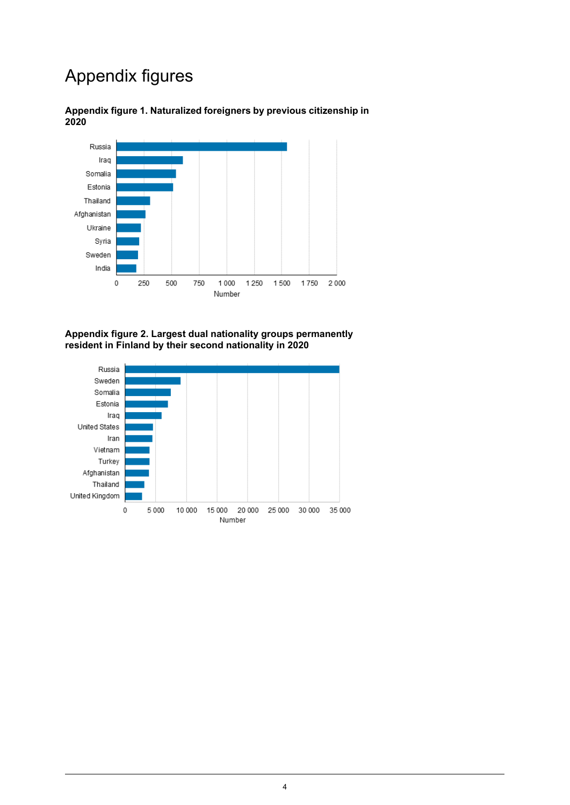# Appendix figures



<span id="page-3-0"></span>**Appendix figure 1. Naturalized foreigners by previous citizenship in 2020**

<span id="page-3-1"></span>**Appendix figure 2. Largest dual nationality groups permanently resident in Finland by their second nationality in 2020**

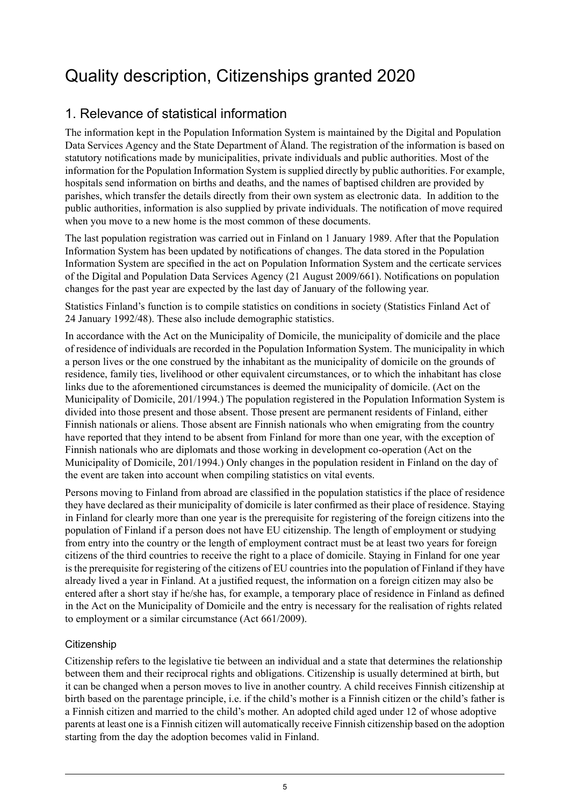# <span id="page-4-0"></span>Quality description, Citizenships granted 2020

### 1. Relevance of statistical information

The information kept in the Population Information System is maintained by the Digital and Population Data Services Agency and the State Department of Åland. The registration of the information is based on statutory notifications made by municipalities, private individuals and public authorities. Most of the information for the Population Information System is supplied directly by public authorities. For example, hospitals send information on births and deaths, and the names of baptised children are provided by parishes, which transfer the details directly from their own system as electronic data. In addition to the public authorities, information is also supplied by private individuals. The notification of move required when you move to a new home is the most common of these documents.

The last population registration was carried out in Finland on 1 January 1989. After that the Population Information System has been updated by notifications of changes. The data stored in the Population Information System are specified in the act on Population Information System and the certicate services of the Digital and Population Data Services Agency (21 August 2009/661). Notifications on population changes for the past year are expected by the last day of January of the following year.

Statistics Finland's function is to compile statistics on conditions in society (Statistics Finland Act of 24 January 1992/48). These also include demographic statistics.

In accordance with the Act on the Municipality of Domicile, the municipality of domicile and the place of residence of individuals are recorded in the Population Information System. The municipality in which a person lives or the one construed by the inhabitant as the municipality of domicile on the grounds of residence, family ties, livelihood or other equivalent circumstances, or to which the inhabitant has close links due to the aforementioned circumstances is deemed the municipality of domicile. (Act on the Municipality of Domicile, 201/1994.) The population registered in the Population Information System is divided into those present and those absent. Those present are permanent residents of Finland, either Finnish nationals or aliens. Those absent are Finnish nationals who when emigrating from the country have reported that they intend to be absent from Finland for more than one year, with the exception of Finnish nationals who are diplomats and those working in development co-operation (Act on the Municipality of Domicile, 201/1994.) Only changes in the population resident in Finland on the day of the event are taken into account when compiling statistics on vital events.

Persons moving to Finland from abroad are classified in the population statistics if the place of residence they have declared as their municipality of domicile is later confirmed as their place of residence. Staying in Finland for clearly more than one year is the prerequisite for registering of the foreign citizens into the population of Finland if a person does not have EU citizenship. The length of employment or studying from entry into the country or the length of employment contract must be at least two years for foreign citizens of the third countries to receive the right to a place of domicile. Staying in Finland for one year is the prerequisite for registering of the citizens of EU countries into the population of Finland if they have already lived a year in Finland. At a justified request, the information on a foreign citizen may also be entered after a short stay if he/she has, for example, a temporary place of residence in Finland as defined in the Act on the Municipality of Domicile and the entry is necessary for the realisation of rights related to employment or a similar circumstance (Act 661/2009).

#### **Citizenship**

Citizenship refers to the legislative tie between an individual and a state that determines the relationship between them and their reciprocal rights and obligations. Citizenship is usually determined at birth, but it can be changed when a person moves to live in another country. A child receives Finnish citizenship at birth based on the parentage principle, i.e. if the child's mother is a Finnish citizen or the child's father is a Finnish citizen and married to the child's mother. An adopted child aged under 12 of whose adoptive parents at least one is a Finnish citizen will automatically receive Finnish citizenship based on the adoption starting from the day the adoption becomes valid in Finland.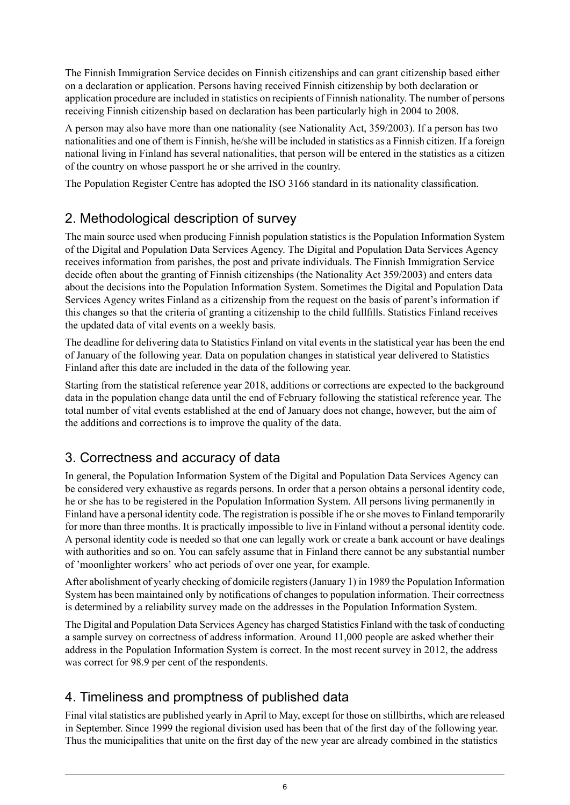The Finnish Immigration Service decides on Finnish citizenships and can grant citizenship based either on a declaration or application. Persons having received Finnish citizenship by both declaration or application procedure are included in statistics on recipients of Finnish nationality. The number of persons receiving Finnish citizenship based on declaration has been particularly high in 2004 to 2008.

A person may also have more than one nationality (see Nationality Act, 359/2003). If a person has two nationalities and one of them is Finnish, he/she will be included in statistics as a Finnish citizen. If a foreign national living in Finland has several nationalities, that person will be entered in the statistics as a citizen of the country on whose passport he or she arrived in the country.

The Population Register Centre has adopted the ISO 3166 standard in its nationality classification.

### 2. Methodological description of survey

The main source used when producing Finnish population statistics is the Population Information System of the Digital and Population Data Services Agency. The Digital and Population Data Services Agency receives information from parishes, the post and private individuals. The Finnish Immigration Service decide often about the granting of Finnish citizenships (the Nationality Act 359/2003) and enters data about the decisions into the Population Information System. Sometimes the Digital and Population Data Services Agency writes Finland as a citizenship from the request on the basis of parent's information if this changes so that the criteria of granting a citizenship to the child fullfills. Statistics Finland receives the updated data of vital events on a weekly basis.

The deadline for delivering data to Statistics Finland on vital events in the statistical year has been the end of January of the following year. Data on population changes in statistical year delivered to Statistics Finland after this date are included in the data of the following year.

Starting from the statistical reference year 2018, additions or corrections are expected to the background data in the population change data until the end of February following the statistical reference year. The total number of vital events established at the end of January does not change, however, but the aim of the additions and corrections is to improve the quality of the data.

### 3. Correctness and accuracy of data

In general, the Population Information System of the Digital and Population Data Services Agency can be considered very exhaustive as regards persons. In order that a person obtains a personal identity code, he or she has to be registered in the Population Information System. All persons living permanently in Finland have a personal identity code. The registration is possible if he or she moves to Finland temporarily for more than three months. It is practically impossible to live in Finland without a personal identity code. A personal identity code is needed so that one can legally work or create a bank account or have dealings with authorities and so on. You can safely assume that in Finland there cannot be any substantial number of 'moonlighter workers' who act periods of over one year, for example.

After abolishment of yearly checking of domicile registers (January 1) in 1989 the Population Information System has been maintained only by notifications of changes to population information. Their correctness is determined by a reliability survey made on the addresses in the Population Information System.

The Digital and Population Data Services Agency has charged Statistics Finland with the task of conducting a sample survey on correctness of address information. Around 11,000 people are asked whether their address in the Population Information System is correct. In the most recent survey in 2012, the address was correct for 98.9 per cent of the respondents.

### 4. Timeliness and promptness of published data

Final vital statistics are published yearly in April to May, except for those on stillbirths, which are released in September. Since 1999 the regional division used has been that of the first day of the following year. Thus the municipalities that unite on the first day of the new year are already combined in the statistics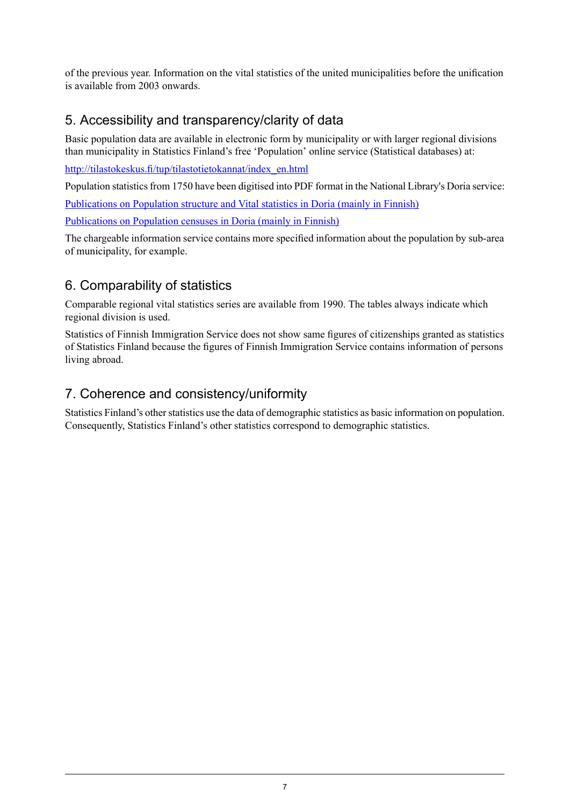of the previous year. Information on the vital statistics of the united municipalities before the unification is available from 2003 onwards.

### 5. Accessibility and transparency/clarity of data

Basic population data are available in electronic form by municipality or with larger regional divisions than municipality in Statistics Finland's free 'Population' online service (Statistical databases) at:

[http://tilastokeskus.fi/tup/tilastotietokannat/index\\_en.html](http://tilastokeskus.fi/tup/tilastotietokannat/index_en.html)

Population statistics from 1750 have been digitised into PDF format in the National Library's Doria service:

[Publications](http://www.doria.fi/handle/10024/67161) on Population structure and Vital statistics in Doria (mainly in Finnish)

[Publications](http://www.doria.fi/handle/10024/67160) on Population censuses in Doria (mainly in Finnish)

The chargeable information service contains more specified information about the population by sub-area of municipality, for example.

### 6. Comparability of statistics

Comparable regional vital statistics series are available from 1990. The tables always indicate which regional division is used.

Statistics of Finnish Immigration Service does not show same figures of citizenships granted as statistics of Statistics Finland because the figures of Finnish Immigration Service contains information of persons living abroad.

### 7. Coherence and consistency/uniformity

Statistics Finland's other statistics use the data of demographic statistics as basic information on population. Consequently, Statistics Finland's other statistics correspond to demographic statistics.